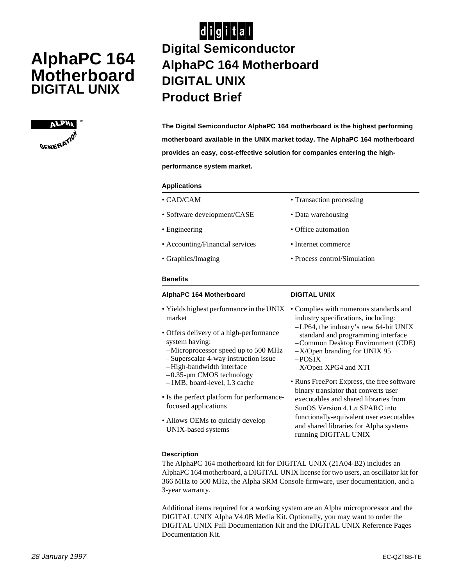# **AlphaPC 164 Motherboard DIGITAL UNIX**



# $|d|i|g|i|t|a|l|$ **Digital Semiconductor AlphaPC 164 Motherboard DIGITAL UNIX Product Brief**

**The Digital Semiconductor AlphaPC 164 motherboard is the highest performing motherboard available in the UNIX market today. The AlphaPC 164 motherboard provides an easy, cost-effective solution for companies entering the highperformance system market.** 

### **Applications**

| AlphaPC 164 Motherboard         | <b>DIGITAL UNIX</b>          |
|---------------------------------|------------------------------|
| <b>Benefits</b>                 |                              |
| • Graphics/Imaging              | • Process control/Simulation |
| • Accounting/Financial services | • Internet commerce          |
| • Engineering                   | • Office automation          |
| • Software development/CASE     | • Data warehousing           |
| $\cdot$ CAD/CAM                 | • Transaction processing     |

- market
- Offers delivery of a high-performance system having:
- –Microprocessor speed up to 500 MHz
- –Superscalar 4-way instruction issue
- –High-bandwidth interface
- –0.35-µm CMOS technology –1MB, board-level, L3 cache
- Is the perfect platform for performancefocused applications
- Allows OEMs to quickly develop UNIX-based systems

## **DIGITAL UNIX**

- Yields highest performance in the UNIX Complies with numerous standards and industry specifications, including:
	- –LP64, the industry's new 64-bit UNIX standard and programming interface
	- –Common Desktop Environment (CDE)
	- –X/Open branding for UNIX 95
	- –POSIX
	- –X/Open XPG4 and XTI
	- Runs FreePort Express, the free software binary translator that converts user executables and shared libraries from SunOS Version 4.1.*n* SPARC into functionally-equivalent user executables and shared libraries for Alpha systems running DIGITAL UNIX

## **Description**

The AlphaPC 164 motherboard kit for DIGITAL UNIX (21A04-B2) includes an AlphaPC 164 motherboard, a DIGITAL UNIX license for two users, an oscillator kit for 366 MHz to 500 MHz, the Alpha SRM Console firmware, user documentation, and a 3-year warranty.

Additional items required for a working system are an Alpha microprocessor and the DIGITAL UNIX Alpha V4.0B Media Kit. Optionally, you may want to order the DIGITAL UNIX Full Documentation Kit and the DIGITAL UNIX Reference Pages Documentation Kit.